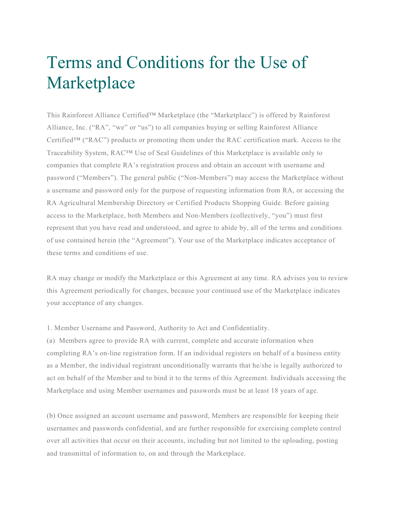## Terms and Conditions for the Use of Marketplace

This Rainforest Alliance Certified™ Marketplace (the "Marketplace") is offered by Rainforest Alliance, Inc. ("RA", "we" or "us") to all companies buying or selling Rainforest Alliance Certified™ ("RAC") products or promoting them under the RAC certification mark. Access to the Traceability System, RAC™ Use of Seal Guidelines of this Marketplace is available only to companies that complete RA's registration process and obtain an account with username and password ("Members"). The general public ("Non-Members") may access the Marketplace without a username and password only for the purpose of requesting information from RA, or accessing the RA Agricultural Membership Directory or Certified Products Shopping Guide. Before gaining access to the Marketplace, both Members and Non-Members (collectively, "you") must first represent that you have read and understood, and agree to abide by, all of the terms and conditions of use contained herein (the "Agreement"). Your use of the Marketplace indicates acceptance of these terms and conditions of use.

RA may change or modify the Marketplace or this Agreement at any time. RA advises you to review this Agreement periodically for changes, because your continued use of the Marketplace indicates your acceptance of any changes.

1. Member Username and Password, Authority to Act and Confidentiality.

(a) Members agree to provide RA with current, complete and accurate information when completing RA's on-line registration form. If an individual registers on behalf of a business entity as a Member, the individual registrant unconditionally warrants that he/she is legally authorized to act on behalf of the Member and to bind it to the terms of this Agreement. Individuals accessing the Marketplace and using Member usernames and passwords must be at least 18 years of age.

(b) Once assigned an account username and password, Members are responsible for keeping their usernames and passwords confidential, and are further responsible for exercising complete control over all activities that occur on their accounts, including but not limited to the uploading, posting and transmittal of information to, on and through the Marketplace.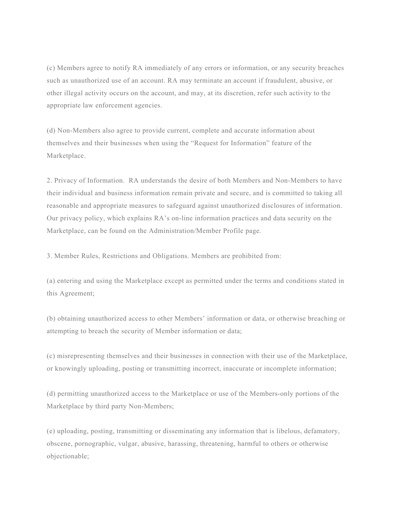(c) Members agree to notify RA immediately of any errors or information, or any security breaches such as unauthorized use of an account. RA may terminate an account if fraudulent, abusive, or other illegal activity occurs on the account, and may, at its discretion, refer such activity to the appropriate law enforcement agencies.

(d) Non-Members also agree to provide current, complete and accurate information about themselves and their businesses when using the "Request for Information" feature of the Marketplace.

2. Privacy of Information. RA understands the desire of both Members and Non-Members to have their individual and business information remain private and secure, and is committed to taking all reasonable and appropriate measures to safeguard against unauthorized disclosures of information. Our privacy policy, which explains RA's on-line information practices and data security on the Marketplace, can be found on the Administration/Member Profile page.

3. Member Rules, Restrictions and Obligations. Members are prohibited from:

(a) entering and using the Marketplace except as permitted under the terms and conditions stated in this Agreement;

(b) obtaining unauthorized access to other Members' information or data, or otherwise breaching or attempting to breach the security of Member information or data;

(c) misrepresenting themselves and their businesses in connection with their use of the Marketplace, or knowingly uploading, posting or transmitting incorrect, inaccurate or incomplete information;

(d) permitting unauthorized access to the Marketplace or use of the Members-only portions of the Marketplace by third party Non-Members;

(e) uploading, posting, transmitting or disseminating any information that is libelous, defamatory, obscene, pornographic, vulgar, abusive, harassing, threatening, harmful to others or otherwise objectionable;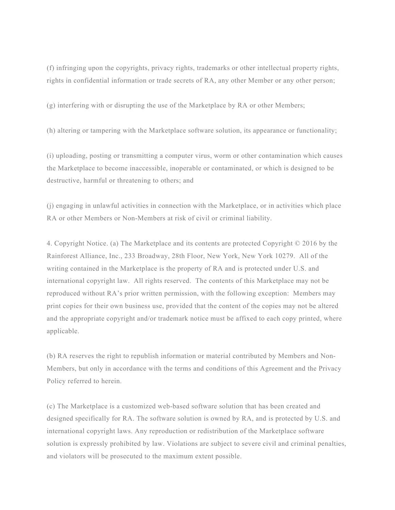(f) infringing upon the copyrights, privacy rights, trademarks or other intellectual property rights, rights in confidential information or trade secrets of RA, any other Member or any other person;

(g) interfering with or disrupting the use of the Marketplace by RA or other Members;

(h) altering or tampering with the Marketplace software solution, its appearance or functionality;

(i) uploading, posting or transmitting a computer virus, worm or other contamination which causes the Marketplace to become inaccessible, inoperable or contaminated, or which is designed to be destructive, harmful or threatening to others; and

(j) engaging in unlawful activities in connection with the Marketplace, or in activities which place RA or other Members or Non-Members at risk of civil or criminal liability.

4. Copyright Notice. (a) The Marketplace and its contents are protected Copyright © 2016 by the Rainforest Alliance, Inc., 233 Broadway, 28th Floor, New York, New York 10279. All of the writing contained in the Marketplace is the property of RA and is protected under U.S. and international copyright law. All rights reserved. The contents of this Marketplace may not be reproduced without RA's prior written permission, with the following exception: Members may print copies for their own business use, provided that the content of the copies may not be altered and the appropriate copyright and/or trademark notice must be affixed to each copy printed, where applicable.

(b) RA reserves the right to republish information or material contributed by Members and Non-Members, but only in accordance with the terms and conditions of this Agreement and the Privacy Policy referred to herein.

(c) The Marketplace is a customized web-based software solution that has been created and designed specifically for RA. The software solution is owned by RA, and is protected by U.S. and international copyright laws. Any reproduction or redistribution of the Marketplace software solution is expressly prohibited by law. Violations are subject to severe civil and criminal penalties, and violators will be prosecuted to the maximum extent possible.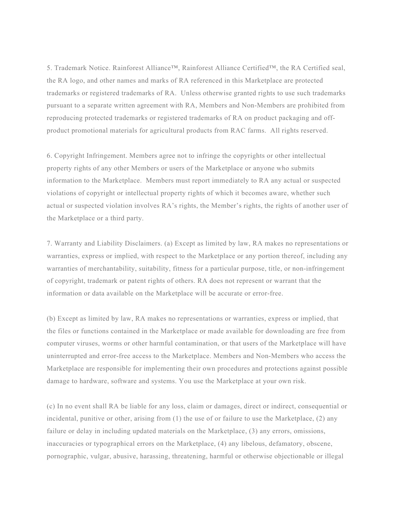5. Trademark Notice. Rainforest Alliance™, Rainforest Alliance Certified™, the RA Certified seal, the RA logo, and other names and marks of RA referenced in this Marketplace are protected trademarks or registered trademarks of RA. Unless otherwise granted rights to use such trademarks pursuant to a separate written agreement with RA, Members and Non-Members are prohibited from reproducing protected trademarks or registered trademarks of RA on product packaging and offproduct promotional materials for agricultural products from RAC farms. All rights reserved.

6. Copyright Infringement. Members agree not to infringe the copyrights or other intellectual property rights of any other Members or users of the Marketplace or anyone who submits information to the Marketplace. Members must report immediately to RA any actual or suspected violations of copyright or intellectual property rights of which it becomes aware, whether such actual or suspected violation involves RA's rights, the Member's rights, the rights of another user of the Marketplace or a third party.

7. Warranty and Liability Disclaimers. (a) Except as limited by law, RA makes no representations or warranties, express or implied, with respect to the Marketplace or any portion thereof, including any warranties of merchantability, suitability, fitness for a particular purpose, title, or non-infringement of copyright, trademark or patent rights of others. RA does not represent or warrant that the information or data available on the Marketplace will be accurate or error-free.

(b) Except as limited by law, RA makes no representations or warranties, express or implied, that the files or functions contained in the Marketplace or made available for downloading are free from computer viruses, worms or other harmful contamination, or that users of the Marketplace will have uninterrupted and error-free access to the Marketplace. Members and Non-Members who access the Marketplace are responsible for implementing their own procedures and protections against possible damage to hardware, software and systems. You use the Marketplace at your own risk.

(c) In no event shall RA be liable for any loss, claim or damages, direct or indirect, consequential or incidental, punitive or other, arising from (1) the use of or failure to use the Marketplace, (2) any failure or delay in including updated materials on the Marketplace, (3) any errors, omissions, inaccuracies or typographical errors on the Marketplace, (4) any libelous, defamatory, obscene, pornographic, vulgar, abusive, harassing, threatening, harmful or otherwise objectionable or illegal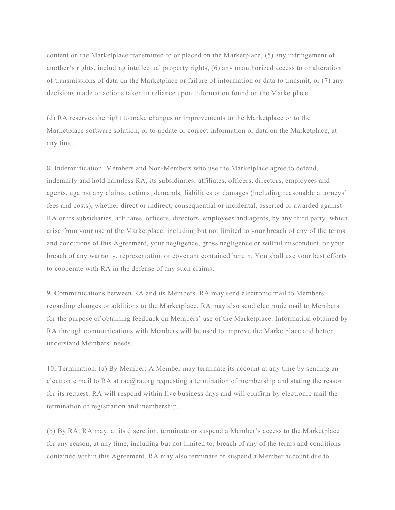content on the Marketplace transmitted to or placed on the Marketplace, (5) any infringement of another's rights, including intellectual property rights, (6) any unauthorized access to or alteration of transmissions of data on the Marketplace or failure of information or data to transmit, or (7) any decisions made or actions taken in reliance upon information found on the Marketplace.

(d) RA reserves the right to make changes or improvements to the Marketplace or to the Marketplace software solution, or to update or correct information or data on the Marketplace, at any time.

8. Indemnification. Members and Non-Members who use the Marketplace agree to defend, indemnify and hold harmless RA, its subsidiaries, affiliates, officers, directors, employees and agents, against any claims, actions, demands, liabilities or damages (including reasonable attorneys' fees and costs), whether direct or indirect, consequential or incidental, asserted or awarded against RA or its subsidiaries, affiliates, officers, directors, employees and agents, by any third party, which arise from your use of the Marketplace, including but not limited to your breach of any of the terms and conditions of this Agreement, your negligence, gross negligence or willful misconduct, or your breach of any warranty, representation or covenant contained herein. You shall use your best efforts to cooperate with RA in the defense of any such claims.

9. Communications between RA and its Members. RA may send electronic mail to Members regarding changes or additions to the Marketplace. RA may also send electronic mail to Members for the purpose of obtaining feedback on Members' use of the Marketplace. Information obtained by RA through communications with Members will be used to improve the Marketplace and better understand Members' needs.

10. Termination. (a) By Member: A Member may terminate its account at any time by sending an electronic mail to RA at rac $@$ ra.org requesting a termination of membership and stating the reason for its request. RA will respond within five business days and will confirm by electronic mail the termination of registration and membership.

(b) By RA: RA may, at its discretion, terminate or suspend a Member's access to the Marketplace for any reason, at any time, including but not limited to, breach of any of the terms and conditions contained within this Agreement. RA may also terminate or suspend a Member account due to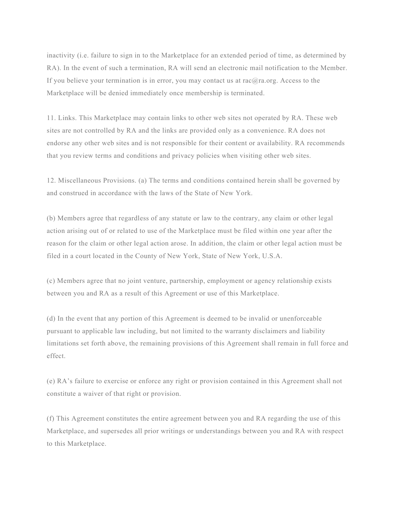inactivity (i.e. failure to sign in to the Marketplace for an extended period of time, as determined by RA). In the event of such a termination, RA will send an electronic mail notification to the Member. If you believe your termination is in error, you may contact us at rac@ra.org. Access to the Marketplace will be denied immediately once membership is terminated.

11. Links. This Marketplace may contain links to other web sites not operated by RA. These web sites are not controlled by RA and the links are provided only as a convenience. RA does not endorse any other web sites and is not responsible for their content or availability. RA recommends that you review terms and conditions and privacy policies when visiting other web sites.

12. Miscellaneous Provisions. (a) The terms and conditions contained herein shall be governed by and construed in accordance with the laws of the State of New York.

(b) Members agree that regardless of any statute or law to the contrary, any claim or other legal action arising out of or related to use of the Marketplace must be filed within one year after the reason for the claim or other legal action arose. In addition, the claim or other legal action must be filed in a court located in the County of New York, State of New York, U.S.A.

(c) Members agree that no joint venture, partnership, employment or agency relationship exists between you and RA as a result of this Agreement or use of this Marketplace.

(d) In the event that any portion of this Agreement is deemed to be invalid or unenforceable pursuant to applicable law including, but not limited to the warranty disclaimers and liability limitations set forth above, the remaining provisions of this Agreement shall remain in full force and effect.

(e) RA's failure to exercise or enforce any right or provision contained in this Agreement shall not constitute a waiver of that right or provision.

(f) This Agreement constitutes the entire agreement between you and RA regarding the use of this Marketplace, and supersedes all prior writings or understandings between you and RA with respect to this Marketplace.